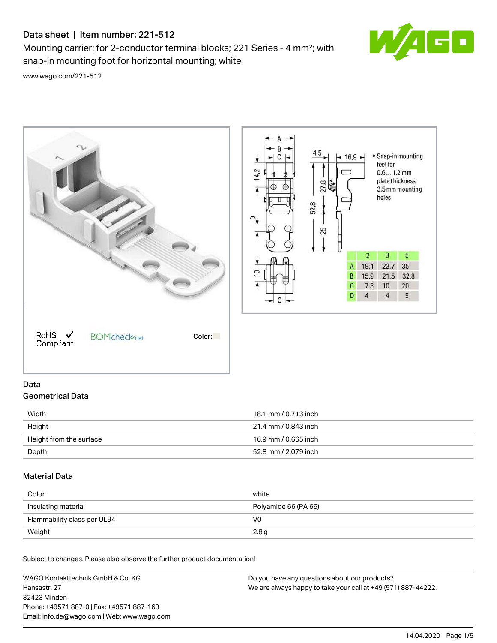# Data sheet | Item number: 221-512

Mounting carrier; for 2-conductor terminal blocks; 221 Series - 4 mm²; with snap-in mounting foot for horizontal mounting; white



[www.wago.com/221-512](http://www.wago.com/221-512)



## Data Geometrical Data

| Width                   | 18.1 mm / 0.713 inch |
|-------------------------|----------------------|
| Height                  | 21.4 mm / 0.843 inch |
| Height from the surface | 16.9 mm / 0.665 inch |
| Depth                   | 52.8 mm / 2.079 inch |

## Material Data

| Color                       | white                |
|-----------------------------|----------------------|
| Insulating material         | Polyamide 66 (PA 66) |
| Flammability class per UL94 | VO                   |
| Weight                      | 2.8 <sub>q</sub>     |

Subject to changes. Please also observe the further product documentation!

| WAGO Kontakttechnik GmbH & Co. KG           | Do you have any questions about our products?                 |
|---------------------------------------------|---------------------------------------------------------------|
| Hansastr. 27                                | We are always happy to take your call at +49 (571) 887-44222. |
| 32423 Minden                                |                                                               |
| Phone: +49571 887-0   Fax: +49571 887-169   |                                                               |
| Email: info.de@wago.com   Web: www.wago.com |                                                               |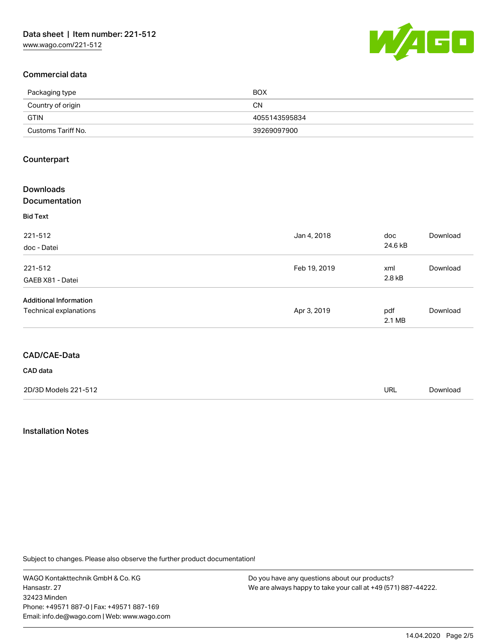

## Commercial data

| Packaging type     | <b>BOX</b>    |
|--------------------|---------------|
| Country of origin  | CΝ            |
| GTIN               | 4055143595834 |
| Customs Tariff No. | 39269097900   |

### Counterpart

| <b>Downloads</b>              |              |         |          |
|-------------------------------|--------------|---------|----------|
| Documentation                 |              |         |          |
| <b>Bid Text</b>               |              |         |          |
| 221-512                       | Jan 4, 2018  | doc     | Download |
| doc - Datei                   |              | 24.6 kB |          |
| 221-512                       | Feb 19, 2019 | xml     | Download |
| GAEB X81 - Datei              |              | 2.8 kB  |          |
| <b>Additional Information</b> |              |         |          |
| Technical explanations        | Apr 3, 2019  | pdf     | Download |
|                               |              | 2.1 MB  |          |
|                               |              |         |          |
| <b>CAD/CAE-Data</b>           |              |         |          |

#### CAD data

| 2D/3D Models 221-512 | URL | Download |
|----------------------|-----|----------|
|----------------------|-----|----------|

### Installation Notes

Subject to changes. Please also observe the further product documentation!

WAGO Kontakttechnik GmbH & Co. KG Hansastr. 27 32423 Minden Phone: +49571 887-0 | Fax: +49571 887-169 Email: info.de@wago.com | Web: www.wago.com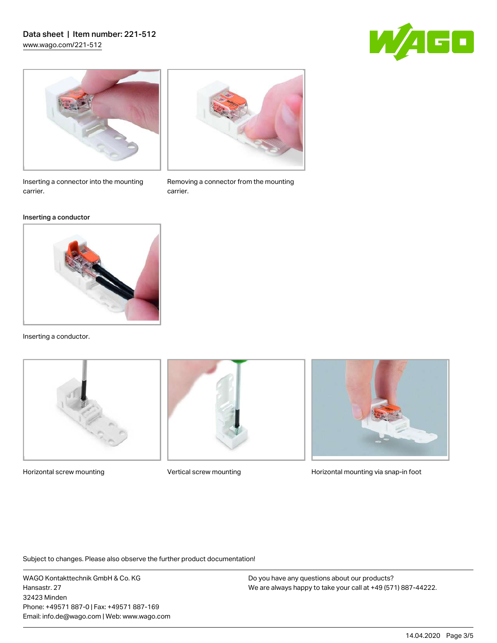## Data sheet | Item number: 221-512 [www.wago.com/221-512](http://www.wago.com/221-512)







#### Inserting a conductor



Inserting a conductor.





Removing a connector from the mounting

carrier.



Horizontal screw mounting **Vertical screw mounting Community** Horizontal mounting via snap-in foot

Subject to changes. Please also observe the further product documentation!

WAGO Kontakttechnik GmbH & Co. KG Hansastr. 27 32423 Minden Phone: +49571 887-0 | Fax: +49571 887-169 Email: info.de@wago.com | Web: www.wago.com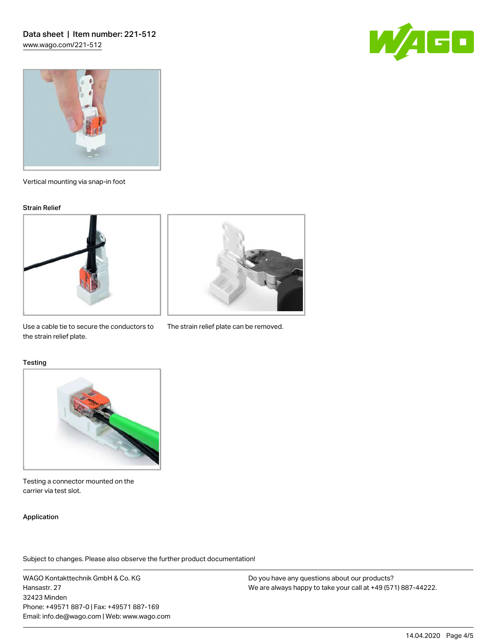



Vertical mounting via snap-in foot

#### Strain Relief





Use a cable tie to secure the conductors to The strain relief plate can be removed. the strain relief plate.

#### **Testing**



Testing a connector mounted on the carrier via test slot.

### Application

Subject to changes. Please also observe the further product documentation!

WAGO Kontakttechnik GmbH & Co. KG Hansastr. 27 32423 Minden Phone: +49571 887-0 | Fax: +49571 887-169 Email: info.de@wago.com | Web: www.wago.com